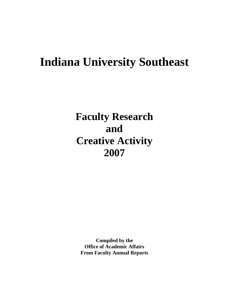# **Indiana University Southeast**

**Faculty Research and Creative Activity 2007**

**Compiled by the Office of Academic Affairs From Faculty Annual Reports**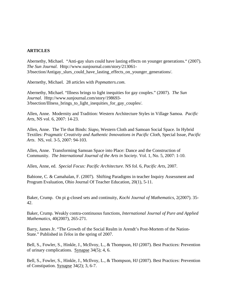### **ARTICLES**

Abernethy, Michael. "Anti-gay slurs could have lasting effects on younger generations." (2007). *The Sun Journal*. Http://www.sunjournal.com/story/213061**-** 3/bsection/Antigay\_slurs\_could\_have\_lasting\_effects\_on\_younger\_generations/.

Abernethy, Michael. 28 articles with *Popmatters.com*.

Abernethy, Michael. "Illness brings to light inequities for gay couples." (2007). *The Sun Journal*. Http://www.sunjournal.com/story/198693- 3/bsection/Illness\_brings\_to\_light\_inequities\_for\_gay\_couples/.

Allen, Anne. Modernity and Tradition: Western Architecture Styles in Village Samoa. *Pacific Arts*, NS vol. 6, 2007: 14-23.

Allen, Anne. The Tie that Binds: *Siapo*, Western Cloth and Samoan Social Space. In Hybrid Textiles: *Pragmatic Creativity and Authentic Innovations in Pacific Cloth*, Special Issue, *Pacific Arts*. NS, vol. 3-5, 2007: 94-103.

Allen, Anne. Transforming Samoan Space into Place: Dance and the Construction of Community. *The International Journal of the Arts in Society*. Vol. 1, No. 5, 2007: 1-10.

Allen, Anne, ed. *Special Focus: Pacific Architecture*. NS fol. 6, *Pacific Arts*, 2007.

Babione, C. & Camahalan, F. (2007). Shifting Paradigms in teacher Inquiry Assessment and Program Evaluation, Ohio Journal Of Teacher Education, 20(1), 5-11.

Baker, Crump. On pi g-closed sets and continuity, *Kochi Journal of Mathematics*, 2(2007). 35- 42.

Baker, Crump. Weakly contra-continuous functions, *International Journal of Pure and Applied Mathematics*, 40(2007), 265-271.

Barry, James Jr. "The Growth of the Social Realm in Arendt's Post-Mortem of the Nation-State." Published in *Telos* in the spring of 2007.

Bell, S., Fowler, S., Hinkle, J., McIlvoy, L., & Thompson, HJ (2007). Best Practices: Prevention of urinary complications. Synapse 34(5); 4, 6.

Bell, S., Fowler, S., Hinkle, J., McIlvoy, L., & Thompson, HJ (2007). Best Practices: Prevention of Constipation. Synapse 34(2); 3, 6-7.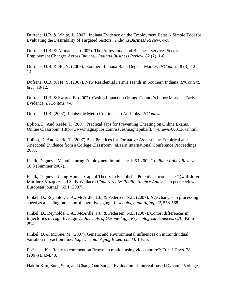Dufrene, U.B. & White, J., 2007. Indiana Evidence on the Employment Beta: A Simple Tool for Evaluating the Desirability of Targeted Sectors. *Indiana Business Review*, 4-9.

Dufrene, U.B. & Altmann, J. (2007). The Professional and Business Services Sector: Employment Changes Across Indiana. *Indiana Business Review*, 82 (2), 1-6.

Dufrene, U.B. & He, Y. (2007). Southern Indiana Bank Deposit Market. *INContext*, 8 (3), 12- 14.

Dufrene, U.B. & He, Y. (2007). New Residential Permit Trends in Southern Indiana. *INContext, 8(1),* 10-12.

Dufrene, U.B. & Swartz, B. (2007). Casino Impact on Orange County's Labor Market - Early Evidence. *INContext*, 4-6.

Dufrene, U.B. (2007). Louisville Metro Continues to Add Jobs. *INContext*.

Eplion, D. And Keefe, T. (2007) Practical Tips for Preventing Cheating on Online Exams. Online Classroom. Http://www.magnapubs.com/issues/magnapubs/ff/4\_4/news/600136-1.html

Eplion, D. And Keefe, T. (2007) Best Practices for Formative Assessment: Empirical and Anecdotal Evidence from a College Classroom. eLearn International Conference Proceedings 2007.

Faulk, Dagney. "Manufacturing Employment in Indiana: 1963-2002." *Indiana Policy Review*  18.3 (Summer 2007).

Faulk, Dagney. "Using Human-Capital Theory to Establish a Potential-Income Tax" (with Jorge Martinez-Vazquez and Sally Wallace) *Finanzarchiv: Public Finance Analysis* (a peer-reviewed European journal), 63.1 (2007).

Finkel, D., Reynolds, C.A., McArdle, J.J., & Pedersen, N.L. (2007). Age changes in processing speed as a leading indicator of cognitive aging. *Psychology and Aging, 22*, 558-568.

Finkel, D., Reynolds, C.A., McArdle, J.J., & Pedersen, N.L. (2007). Cohort differences in trajectories of cognitive aging. *Journals of Gerontology: Psychological Sciences, 62B*, P286- 294.

Finkel, D. & McGue, M. (2007). Genetic and environmental influences on intraindividual variation in reaction time. *Experimental Aging Research*, *33*, 13-35.

Forinash, K. "Reply to comment on Brownian motion using video apture"; Eur. J. Phys. 28 (2007) L43-L43.

Haklin Kim, Sung Shin, and Chang Oan Sung. "Evaluation of Interval-based Dynamic Voltage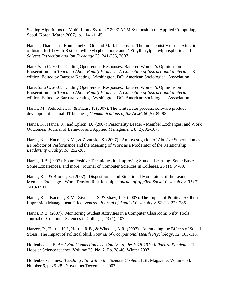Scaling Algorithms on Mobil Linux System," 2007 ACM Symposium on Applied Computing, Seoul, Korea (March 2007), p. 1141-1145.

Hannel, Thaddaeus, Emmanuel O. Otu and Mark P. Jensen. Thermochemistry of the extraction of bismuth (III) with Bis(2-ethylhexyl) phosphoric and 2-Ethylhexylphenylphosphoric acids. *Solvent Extraction and Ion Exchange* 25, 241-256, 2007.

Hare, Sara C. 2007. "Coding Open-ended Responses: Battered Women's Opinions on Prosecution." In *Teaching About Family Violence: A Collection of Instructional Materials*. 3rd edition. Edited by Barbara Keating. Washington, DC; American Sociological Association.

Hare, Sara C. 2007. "Coding Open-ended Responses: Battered Women's Opinions on Prosecution." In *Teaching About Family Violence: A Collection of Instructional Materials*. 4<sup>th</sup> edition. Edited by Barbara Keating. Washington, DC; American Sociological Association.

Harris, M., Aebischer, K. & Klaus, T. (2007). The whitewater process: software product development in small IT business, *Communications of the ACM*, 50(5), 89-93.

Harris, K., Harris, R., and Eplion, D. (2007) Personality Leader - Member Exchanges, and Work Outcomes. Journal of Behavior and Applied Management, 8 (2), 92-107.

Harris, K.J., Kacmar, K.M., & Zivnuska, S. (2007). An Investigation of Abusive Supervision as a Predictor of Performance and the Meaning of Work as a Moderator of the Relationship. *Leadership Quality, 18*, 252-263.

Harris, R.B. (2007). Some Positive Techniques for Improving Student Learning: Some Basics, Some Experiences, and more. Journal of Computer Sciences in Colleges, 23 (1), 64-69.

Harris, K.J. & Brouer, R. (2007). Dispositional and Situational Moderators of the Leader Member Exchange - Work Tension Relationship. *Journal of Applied Social Psychology, 37* (7), 1418-1441.

Harris, K.J., Kacmar, K.M., Zivnuska, S. & Shaw, J.D. (2007). The Impact of Political Skill on Impression Management Effectiveness. *Journal of Applied Psychology, 92* (1), 278-285.

Harris, R.B. (2007). Monitoring Student Activities in a Computer Classroom: Nifty Tools. Journal of Computer Sciences in Colleges, 23 (1), 107.

Harvey, P., Harris, K.J., Harris, R.B., & Wheeler, A.R. (2007). Attenuating the Effects of Social Stress: The Impact of Political Skill, *Journal of Occupational Health Psychology, 12*, 105-115.

Hollenbeck, J.E. *An Avian Connection as a Catalyst to the 1918-1919 Influenza Pandemic* The Hoosier Science teacher. Volume 23. No. 2. Pp. 38-46. Winter 2007.

Hollenbeck, James. *Teaching ESL within the Science Content*, ESL Magazine. Volume 54. Number 6, p. 25-28. November/December. 2007.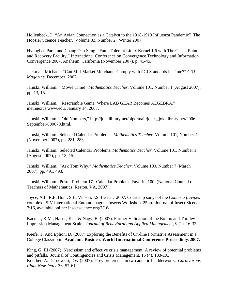Hollenbeck, J. "An Avian Connection as a Catalyst to the 1918-1919 Influenza Pandemic" The Hoosier Science Teacher. Volume 33, Number 2. Winter 2007.

Hyungbae Park, and Chang Oan Sung. "Fault Tolerant Linux Kernel 1.6 with The Check Point and Recovery Facility," International Conference on Convergence Technology and Information Convergence 2007, Anaheim, California (November 2007), p. 41-45.

Jackman, Michael. "Can Mid-Market Merchants Comply with PCI Standards in Time?" *CIO Magazine*. December, 2007.

Jamski, William. "Movie Time!" *Mathematics Teacher*, Volume 101, Number 1 (August 2007), pp. 13, 15.

Jamski, William. "Rescramble Game: Where LAB GEAR Becomes ALGEBRA," methnexus.www.edu, January 14, 2007.

Jamski, William. "Old Numbers," http://jokelibrary.net/pipermail/jokes\_jokelibrary.net/2006- September/000079.html.

Jamski, William. Selected Calendar Problems. *Mathematics Teacher*, Volume 101, Number 4 (November 2007), pp. 281, 283.

Jamski, William. Selected Calendar Problems. *Mathematics Teacher*, Volume 101, Number 1 (August 2007), pp. 13, 15.

Jamski, William. "Ask Tom Why," *Mathematics Teacher*, Volume 100, Number 7 (March 2007), pp. 491, 493.

Jamski, William. Poster Problem 17. Calendar Problems Favorite 100. (National Council of Teachers of Mathematics: Reston, VA, 2007).

Joyce, A.L, R.E. Hunt, S.B. Vinson, J.S. Bernal. 2007. Courtship songs of the *Contesia flavipes*  complex. SIV International Entomophagous Insects Workshop. 25pp. Journal of Insect Sicence 7:16, available online: insectscience.org/7/16/

Kacmar, K.M., Harris, K.J., & Nagy, B. (2007). Further Validation of the Bolino and Turnley Impression Management Scale. *Journal of Behavioral and Applied Management, 9* (1), 16-32.

Keefe, T. And Eplion, D. (2007) Exploring the Benefits of On-line Formative Assessment in a College Classroom. **Academic Business World International Conference Proceedings 2007.**

King, G. III (2007). Narcissism and effective crisis management: A review of potential problems and pitfalls. Journal of Contingencies and Crisis Management, 15 (4), 183-193. Koerber, A. Darnowski, DW (2007). Prey preference in two aquatic bladderworts. *Carnivorous Plant Newsletter* 36; 57-61.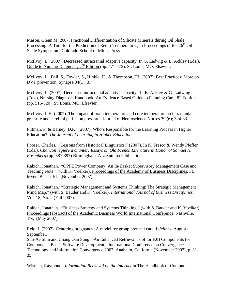Mason, Glenn M. 2007. Fractional Differentiation of Silicate Minerals during Oil Shale Processing: A Tool for the Prediction of Retort Temperatures, in Proceedings of the 26<sup>th</sup> Oil Shale Symposium, Colorado School of Mines Press.

McIlvoy, L. (2007). Decreased intracranial adaptive capacity. In G. Ladwig & B. Ackley (Eds.), Guide to Nursing Diagnosis,  $2^{nd}$  Edition (pp. 471-472). St. Louis, MO: Elsevier.

McIlvoy, L., Bell, S., Fowler, S., Hinkle, JL, & Thompson, HJ. (2007). Best Practices: More on DVT prevention. Synapse 34(1); 3.

McIlvoy, L. (2007). Decreased intracranial adaptive capacity. In B. Ackley & G. Ladwing (Eds.), Nursing Diagnosis Handbook: An Evidence Based Guide to Planning Care,  $8<sup>th</sup>$  Edition (pp. 516-520). St. Louis, MO: Elsevier.

McIlvoy, L.H. (2007). The impact of brain temperature and core temperature on intracranial pressure and cerebral perfusion pressure. Journal of Neuroscience Nurses 39 (6); 324-331.

Pittman, P. & Barney, D.K. (2007). Who's Responsible for the Learning Process in Higher Education? *The Journal of Learning in Higher Education*.

Pooser, Charles. "Lessons from Historical Linguistics." (2007). In K. Fresco & Wendy Pfeffer (Eds.), *Chancon legiere a chanter: Essays on Old French Literature in Honor of Samuel N. Rosenberg* (pp. 387-397) Birmingham, AL: Summa Publications.

Rakich, Jonathan. "OPPE Power Company: An In-Basket Supervisory Management Case and Teaching Note," (with K. Voelker), Proceedings of the Academy of Business Disciplines, Ft. Myers Beach, FL. (November 2007).

Rakich, Jonathan. "Strategic Management and Systems Thinking: The Strategic Management Mind Map," (with S. Bauder and K. Voelker), *International Journal of Business Disciplines*, Vol. 18, No. 2 (Fall 2007).

Rakich, Jonathan. "Business Strategy and Systems Thinking," (with S. Bauder and K. Voelker), Proceedings (abstract) of the Academic Business World International Conference, Nashville, TN. (May 2007).

Reid, J. (2007). Centering pregnancy: A model for group prenatal care. *Lifelines*, August-September.

Sun-Ae Shin and Chang Oan Sung. "An Enhanced Retrieval Tool for EJB Components for Components Based Software Development," International Conference on Convergence Technology and Information Convergence 2007, Anaheim, California (November 2007), p. 31- 35.

Wisman, Raymond. *Information Retrieval on the Internet* in The Handbook of Computer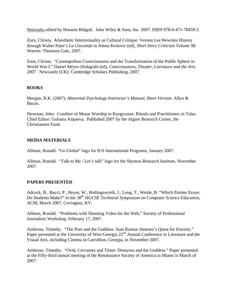Networks edited by Hossein Bidgoli. John Wiley & Sons, Inc. 2007. ISBN 978-0-471-78459-3.

Zorn, Christa. AAesthetic Intertextuality as Cultural Critique: Vernon Lee Rewrites History through Walter Pater's *La Gioconda* in Jelena Krstovic (ed), *Short Story Criticism Volume 98.*  Warren: Thomson Gale, 2007.

Zorn, Christa. "Cosmopolitan Consciousness and the Transformation of the Public Sphere in World War I." Daniel Meyer-Dinkgrafe (ed), *Consciousness, Theater, Literature and the Arts 2007*. Newcastle (UK): Cambridge Scholars Publishing, 2007.

# **BOOKS**

Morgan, R.K. (2007). *Abnormal Psychology Instructor's Manual, Short Version*. Allyn & Bacon.

Newman, John. Coeditor of Mazar Worship in Kyrgyzstan: Rituals and Practitioners in Talas. Chief Editor: Gulnara Aitpaeva. Published 2007 by the Algine Research Center, the Christiansen Fund.

# **MEDIA MATERIALS**

Allman, Ronald. "Go Global" logo for IUS International Programs, January 2007.

Allman, Ronald. "Talk to Me / Let's talk" logo for the Shyness Research Institute, November 2007.

# **PAPERS PRESENTED**

Adcock, B., Bucci, P., Heym, W., Hollingsworth, J., Long, T., Weide, B. "Which Pointer Errors Do Students Make?" in the *38th SIGCSE Technical Symposium on Computer Science Education*, ACM, March 2007, Covington, KY.

Allman, Ronald. "Problems with Shooting Video for the Web," Society of Professional Journalists Workshop, February 17, 2007.

Ambrose, Timothy. "The Poet and the Goddess: Juan Ramon Jimenez's Quest for Eternity." Paper presented at the University of West Georgia 22<sup>nd</sup> Annual Conference in Literature and the Visual Arts, including Cinema in Carrollton, Georgia, in November 2007.

Ambrose, Timothy. "Ovid, Cervantes and Titian: Dionysus and the Goddess." Paper presented at the Fifty-third annual meeting of the Renaissance Society of America in Miami in March of 2007.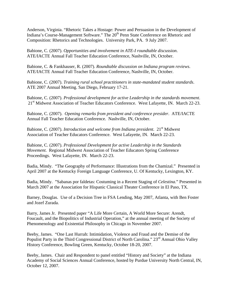Anderson, Virginia. "Rhetoric Takes a Hostage: Power and Persuasion in the Development of Indiana's Course-Management Software." The 20<sup>th</sup> Penn State Conference on Rhetoric and Composition: Rhetorics and Technologies. University Park, PA. 9 July 2007.

Babione, C. (2007). *Opportunities and involvement in ATE-I roundtable discussion*. ATE/IACTE Annual Fall Teacher Education Conference, Nashville, IN, October.

Babione, C. & Fankhauser, R. (2007). *Roundtable discussion on Indiana program reviews*. ATE/IACTE Annual Fall Teacher Education Conference, Nashville, IN, October.

Babione, C. (2007). *Training rural school practitioners in state-mandated student standards*. ATE 2007 Annual Meeting. San Diego, February 17-21.

Babione, C. (2007). *Professional development for active Leadership in the standards movement*. 21<sup>st</sup> Midwest Association of Teacher Educators Conference. West Lafayette, IN. March 22-23.

Babione, C. (2007). *Opening remarks from president and conference presider*. ATE/IACTE Annual Fall Teacher Education Conference. Nashville, IN, October.

Babione, C. (2007). *Introduction and welcome from Indiana president*. 21st Midwest Association of Teacher Educators Conference. West Lafayette, IN. March 22-23.

Babione, C. (2007). *Professional Development for active Leadership in the Standards Movement*. Regional Midwest Association of Teacher Educators Spring Conference Proceedings. West Lafayette, IN. March 22-23.

Badia, Mindy. "The Geography of Performance: Illustrations from the Chamizal." Presented in April 2007 at the Kentucky Foreign Language Conference, U. Of Kentucky, Lexington, KY.

Badia, Mindy. "Sabanas por faldetas: Costuming in a Recent Staging of *Celestina.*" Presented in March 2007 at the Association for Hispanic Classical Theater Conference in El Paso, TX.

Barney, Douglas. Use of a Decision Tree in FSA Lending, May 2007, Atlanta, with Ben Foster and Jozef Zurada.

Barry, James Jr. Presented paper "A Life More Certain, A World More Secure: Arendt, Foucault, and the Biopolitics of Industrial Operation," at the annual meeting of the Society of Phenomenology and Existential Philosophy in Chicago in November 2007.

Beeby, James. "One Last Hurrah: Intimidation, Violence and Fraud and the Demise of the Populist Party in the Third Congressional District of North Carolina." 23<sup>rd</sup> Annual Ohio Valley History Conference, Bowling Green, Kentucky, October 18-20, 2007.

Beeby, James. Chair and Respondent to panel entitled "History and Society" at the Indiana Academy of Social Sciences Annual Conference, hosted by Purdue University North Central, IN, October 12, 2007.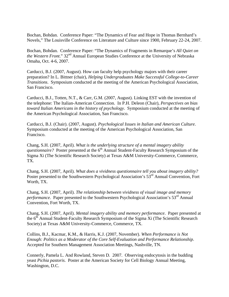Bochan, Bohdan. Conference Paper: "The Dynamics of Fear and Hope in Thomas Bernhard's Novels," The Louisville Conference on Literature and Culture since 1900, February 22-24, 2007.

Bochan, Bohdan. Conference Paper: "The Dynamics of Fragments in Remarque's *All Quiet on the Western Front.*" 32<sup>nd</sup> Annual European Studies Conference at the University of Nebraska Omaha, Oct. 4-6, 2007.

Carducci, B.J. (2007, August). How can faculty help psychology majors with their career preparation? In L. Bittner (chair), *Helping Undergraduates Make Successful College-to-Career Transitions*. Symposium conducted at the meeting of the American Psychological Association, San Francisco.

Carducci, B.J., Totten, N.T., & Carr, G.M. (2007, August). Linking EST with the invention of the telephone: The Italian-American Connection. In P.H. Deleon (Chair), *Perspectives on bias toward Italian Americans in the history of psychology*. Symposium conducted at the meeting of the American Psychological Association, San Francisco.

Carducci, B.J. (Chair). (2007, August). *Psychological Issues in Italian and American Culture*. Symposium conducted at the meeting of the American Psychological Association, San Francisco.

Chang, S.H. (2007, April). *What is the underlying structure of a mental imagery ability questionnaire?* Poster presented at the 6<sup>th</sup> Annual Student-Faculty Research Symposium of the Sigma Xi (The Scientific Research Society) at Texas A&M University-Commerce, Commerce, TX.

Chang, S.H. (2007, April). *What does a vividness questionnaire tell you about imagery ability?*  Poster presented to the Southwestern Psychological Association's  $53<sup>rd</sup>$  Annual Convention, Fort Worth, TX.

Chang, S.H. (2007, April). *The relationship between vividness of visual image and memory performance.* Paper presented to the Southwestern Psychological Association's 53<sup>rd</sup> Annual Convention, Fort Worth, TX.

Chang, S.H. (2007, April). *Mental imagery ability and memory performance*. Paper presented at the 6<sup>th</sup> Annual Student-Faculty Research Symposium of the Sigma Xi (The Scientific Research Society) at Texas A&M University-Commerce, Commerce, TX.

Collins, B.J., Kacmar, K.M., & Harris, K.J. (2007, November). *When Performance is Not Enough: Politics as a Moderator of the Core Self-Evaluation and Performance Relationship*. Accepted for Southern Management Association Meetings, Nashville, TN.

Connerly, Pamela L. And Rowland, Steven D. 2007. Observing endocytosis in the budding yeast *Pichia pastoris*. Poster at the American Society for Cell Biology Annual Meeting, Washington, D.C.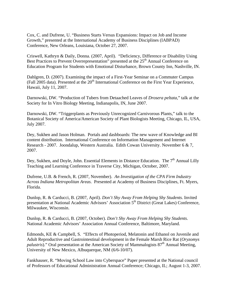Cox, C. and Dufrene, U. "Business Starts Versus Expansions: Impact on Job and Income Growth," presented at the International Academy of Business Disciplines (IABPAD) Conference, New Orleans, Louisiana, October 27, 2007.

Criswell, Kathryn & Daily, Donna. (2007, April). "Deficiency, Difference or Disability Using Best Practices to Prevent Overrepresentation" presented at the 25<sup>th</sup> Annual Conference on Education Program for Students with Emotional Disturbance, Brown County Inn, Nashville, IN.

Dahlgren, D. (2007). Examining the impact of a First-Year Seminar on a Commuter Campus (Fall 2005 data). Presented at the 20<sup>th</sup> International Conference on the First Year Experience, Hawaii, July 11, 2007.

Darnowski, DW. "Production of Tubers from Detaached Leaves of *Drosera peltata*," talk at the Society for In Vitro Biology Meeting, Indianapolis, IN, June 2007.

Darnowski, DW. "Triggerplants as Previously Unrecognized Carnivorous Plants," talk to the Botanical Society of America/American Society of Plant Biologists Meeting, Chicago, IL, USA, July 2007.

Dey, Sukhen and Jason Holman. Portals and dashboards: The new wave of Knowledge and BI content distribution. International Conference on Information Management and Internet Research - 2007. Joondalup, Western Australia. Edith Cowan University. November 6 & 7, 2007.

Dey, Sukhen, and Doyle, John. Essential Elements in Distance Education. The  $7<sup>th</sup>$  Annual Lilly Teaching and Learning Conference in Traverse City, Michigan, October, 2007.

Dufrene, U.B. & French, R. (2007, November). *An Investigation of the CPA Firm Industry Across Indiana Metropolitan Areas*. Presented at Academy of Business Disciplines, Ft. Myers, Florida.

Dunlop, R. & Carducci, B. (2007, April). *Don't Shy Away From Helping Shy Students*. Invited presentation at National Academic Advisors' Association 5<sup>th</sup> District (Great Lakes) Conference, Milwaukee, Wisconsin.

Dunlop, R. & Carducci, B. (2007, October). *Don't Shy Away From Helping Shy Students*. National Academic Advisors' Association Annual Conference, Baltimore, Maryland.

Edmonds, KE & Campbell, S. "Effects of Photoperiod, Melatonin and Ethanol on Juvenile and Adult Reproductive and Gastrointestinal development in the Female Marsh Rice Rat (*Oryzomys palustris*)." Oral presentation at the American Society of Mammalogists 87<sup>th</sup> Annual Meeting. University of New Mexico, Albuquerque, NM (6/6-10/07).

Fankhauser, R. "Moving School Law into Cyberspace" Paper presented at the National council of Professors of Educational Administration Annual Conference; Chicago, IL; August 1-3, 2007.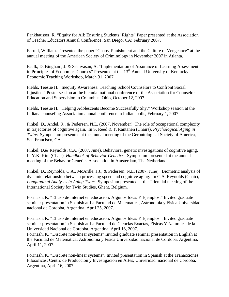Fankhausser, R. "Equity for All: Ensuring Students' Rights" Paper presented at the Association of Teacher Educators Annual Conference; San Diego, CA; February 2007.

Farrell, William. Presented the paper "Chaos, Punishment and the Culture of Vengeance" at the annual meeting of the American Society of Criminology in November 2007 in Atlanta.

Faulk, D. Bingham, J. & Srinivasan, A. "Implementation of Assurance of Learning Assessment in Principles of Economics Courses" Presented at the  $13<sup>th</sup>$  Annual University of Kentucky Economic Teaching Workshop, March 31, 2007.

Fields, Teesue H. "Inequity Awareness: Teaching School Counselors to Confront Social Injustice." Poster session at the biennial national conference of the Association for Counselor Education and Supervision in Columbus, Ohio, October 12, 2007.

Fields, Teesue H. "Helping Adolescents Become Successfully Shy." Workshop session at the Indiana counseling Association annual conference in Indianapolis, February 1, 2007.

Finkel, D., Andel, R., & Pedersen, N.L. (2007, November). The role of occupational complexity in trajectories of cognitive again. In S. Reed & T. Rantanen (Chairs), *Psychological Aging in Twins*. Symposium presented at the annual meeting of the Gerontological Society of America, San Francisco, CA.

Finkel, D.& Reynolds, C.A. (2007, June). Behavioral genetic investigations of cognitive aging. In Y.K. Kim (Chair), *Handbook of Behavior Genetics*. Symposium presented at the annual meeting of the Behavior Genetics Association in Amsterdam, The Netherlands.

Finkel, D., Reynolds, C.A., McArdle, J.J., & Pedersen, N.L. (2007, June). Biometric analysis of dynamic relationship between processing speed and cognitive aging. In C.A. Reynolds (Chair), *Longitudinal Analyses in Aging Twins*. Symposium presented at the Triennial meeting of the International Society for Twin Studies, Ghent, Belgium.

Forinash, K. "El uso de Internet en educacion: Algunos Ideas Y Ejemplos." Invited graduate seminar presentation in Spanish at La Facultad de Matematica, Astronomia y Fisica Universidad nacional de Cordoba, Argentina, April 25, 2007.

Forinash, K. "El uso de Internet en educacion: Algunos Ideas Y Ejemplos". Invited graduate seminar presentation in Spanish at La Facultad de Ciencias Exactas, Fisicas Y Naturales de la Universidad Nacional de Cordoba, Argentina, April 16, 2007.

Forinash, K. "Discrete non-linear systems" Invited graduate seminar presentation in English at the Facultad de Matematica, Astronomia y Fisica Universidad nacional de Cordoba, Argentina, April 11, 2007.

Forinash, K. "Discrete non-linear systems". Invited presentation in Spanish at the Tranacciones Filosoficas; Centro de Produccion y Investigacion en Artes, Univeridad nacional de Cordoba, Argentina, April 16, 2007.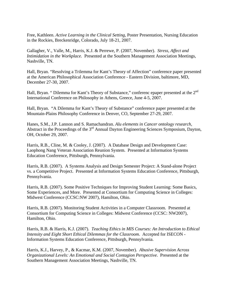Free, Kathleen. *Active Learning in the Clinical Setting*, Poster Presentation, Nursing Education in the Rockies, Breckenridge, Colorado, July 18-21, 2007.

Gallagher, V., Valle, M., Harris, K.J. & Perrewe, P. (2007, November). *Stress, Affect and Intimidation in the Workplace*. Presented at the Southern Management Association Meetings, Nashville, TN.

Hall, Bryan. "Resolving a Trilemma for Kant's Theory of Affection" conference paper presented at the American Philosophical Association Conference - Eastern Division, baltimore, MD, December 27-30, 2007.

Hall, Bryan. " Dilemma for Kant's Theory of Substance," conferenc epaper presented at the 2<sup>nd</sup> International Conference on Philosophy in Athens, Greece, June 4-5, 2007.

Hall, Bryan. "A Dilemma for Kant's Theory of Substance" conference paper presented at the Mountain-Plains Philosophy Conference in Denver, CO, September 27-29, 2007.

Hanes, S.M., J.P. Lannon and S. Ramachandran. *Alu elements in Cancer ontology research,* Abstract in the Proceedings of the 3<sup>rd</sup> Annual Dayton Engineering Sciences Symposium, Dayton, OH, October 29, 2007.

Harris, R.B., Cline, M. & Cooley, J. (2007). A Database Design and Development Case: Laophong Nang Veteran Association Reunion System. Presented at Information Systems Education Conference, Pittsburgh, Pennsylvania.

Harris, R.B. (2007). A Systems Analysis and Design Semester Project: A Stand-alone Project vs. a Competitive Project. Presented at Information Systems Education Conference, Pittsburgh, Pennsylvania.

Harris, R.B. (2007). Some Positive Techniques for Improving Student Learning: Some Basics, Some Experiences, and More. Presented at Consortium for Computing Science in Colleges: Midwest Conference (CCSC:NW 2007), Hamilton, Ohio.

Harris, R.B. (2007). Monitoring Student Activities in a Computer Classroom. Presented at Consortium for Computing Science in Colleges: Midwest Conference (CCSC: NW2007), Hamilton, Ohio.

Harris, R.B. & Harris, K.J. (2007). *Teaching Ethics in MIS Courses: An Introduction to Ethical Intensity and Eight Short Ethical Dilemmas for the Classroom*. Accepted for ISECON - Information Systems Education Conference, Pittsburgh, Pennsylvania.

Harris, K.J., Harvey, P., & Kacmar, K.M. (2007, November). *Abusive Supervision Across Organizational Levels: An Emotional and Social Contagion Perspective*. Presented at the Southern Management Association Meetings, Nashville, TN.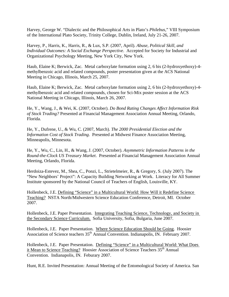Harvey, George W. "Dialectic and the Philosophical Arts in Plato's *Philebus*," VIII Symposium of the International Plato Society, Trinity College, Dublin, Ireland, July 21-26, 2007.

Harvey, P., Harris, K., Harris, R., & Lux, S.P. (2007, April). *Abuse, Political Skill, and Individual Outcomes: A Social Exchange Perspective*. Accepted for Society for Industrial and Organizational Psychology Meeting, New York City, New York.

Haub, Elaine K; Berwick, Zac. Metal carboxylate formation using 2, 6 bis (2-hydroxyethoxy)-4 methylbenzoic acid and related compounds, poster presentation given at the ACS National Meeting in Chicago, Illinois, March 25, 2007.

Haub, Elaine K; Berwick, Zac. Metal carboxylate formation using 2, 6 bis (2-hydroxyethoxy)-4 methylbenzoic acid and related compounds, chosen for Sci-Mix poster session at the ACS National Meeting in Chicago, Illinois, March 26, 2007.

He, Y., Wang, J., & Wei, K. (2007, October). *Do Bond Rating Changes Affect Information Risk of Stock Trading?* Presented at Financial Management Association Annual Meeting, Orlando, Florida.

He, Y., Dufrene, U., & Wu, C. (2007, March). *The 2000 Presidential Election and the Information Cost of Stock Trading*. Presented at Midwest Finance Association Meeting, Minneapolis, Minnesota.

He, Y., Wu, C., Lin, H., & Wang, J. (2007, October). *Asymmetric Information Patterns in the Round-the-Clock US Treasury Market*. Presented at Financial Management Association Annual Meeting, Orlando, Florida.

Herdoiza-Estevez, M., Shea, C., Ponzi, L., Strietelmeier, R., & Gregory, S. (July 2007). The "New Neighbors' Project": A Capacity Building Networking at Work. Literacy for All Summer Institute sponsored by the National Council of Teachers of English, Louisville, KY.

Hollenbeck, J.E. Defining "Science" in a Multicultural World: How Will it Redefine Science Teaching? NSTA North/Midwestern Science Education Conference, Detroit, MI. October 2007.

Hollenbeck, J.E. Paper Presentation. Integrating Teaching Science, Technology, and Society in the Secondary Science Curriculum. Sofia University, Sofia, Bulgaria, June 2007.

Hollenbeck, J.E. Paper Presentation. Where Science Education Should be Going. Hoosier Association of Science teachers 35<sup>th</sup> Annual Convention. Indianapolis, IN. February 2007.

Hollenbeck, J.E. Paper Presentation. Defining "Science" in a Multicultural World: What Does it Mean to Science Teaching? Hoosier Association of Science Teachers 35<sup>th</sup> Annual Convention. Indianapolis, IN. Feburary 2007.

Hunt, R.E. Invited Presentation: Annual Meeting of the Entomological Society of America. San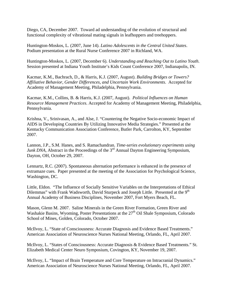Diego, CA, December 2007. Toward ad understanding of the evolution of structural and functional complexity of vibrational mating signals in leafhoppers and treehoppers.

Huntington-Moskos, L. (2007, June 14). *Latino Adolescents in the Central United States*. Podium presentation at the Rural Nurse Conference 2007 in Richland, WA.

Huntington-Moskos, L. (2007, December 6). *Understanding and Reaching Out to Latino Youth*. Session presented at Indiana Youth Institute's Kids Count Conference 2007, Indianapolis, IN.

Kacmar, K.M., Bachrach, D., & Harris, K.J. (2007, August). *Building Bridges or Towers? Affiliative Behavior, Gender Differences, and Uncertain Work Environments*. Accepted for Academy of Management Meeting, Philadelphia, Pennsylvania.

Kacmar, K.M., Collins, B. & Harris, K.J. (2007, August). *Political Influences on Human Resource Management Practices*. Accepted for Academy of Management Meeting, Philadelphia, Pennsylvania.

Krishna, V., Srinivasan, A., and Alse, J. "Countering the Negative Socio-economic Impact of AIDS in Developing Countries By Utilizing Innovative Media Strategies." Presented at the Kentucky Communication Association Conference, Butler Park, Carrolton, KY, September 2007.

Lannon, J.P., S.M. Hanes, and S. Ramachandran. *Time-series evolutionary experiments using Junk DNA*, Abstract in the Proceedings of the 3<sup>rd</sup> Annual Dayton Engineering Symposium, Dayton, OH, October 29, 2007.

Lennartz, R.C. (2007). Spontaneous alternation performance is enhanced in the presence of extramaze cues. Paper presented at the meeting of the Association for Psychological Science, Washington, DC.

Little, Eldon. "The Influence of Socially Sensitive Variables on the Interpretations of Ethical Dilemmas" with Frank Wadsworth, David Sturpeck and Joseph Little. Presented at the 9<sup>th</sup> Annual Academy of Business Disciplines, November 2007, Fort Myers Beach, FL.

Mason, Glenn M. 2007. Saline Minerals in the Green River Formation, Green River and Washakie Basins, Wyoming, Poster Presentations at the  $27<sup>th</sup>$  Oil Shale Symposium, Colorado School of Mines, Golden, Colorado, October 2007.

McIlvoy, L. "State of Consciousness: Accurate Diagnosis and Evidence Based Treatments." American Association of Neuroscience Nurses National Meeting, Orlando, FL, April 2007.

McIlvoy, L. "States of Consciousness: Accurate Diagnosis & Evidence Based Treatments." St. Elizabeth Medical Center Neuro Symposium, Covington, KY, November 19, 2007.

McIlvoy, L. "Impact of Brain Temperature and Core Temperature on Intracranial Dynamics." American Association of Neuroscience Nurses National Meeting, Orlando, FL, April 2007.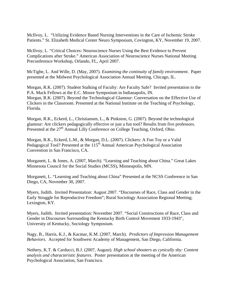McIlvoy, L. "Utilizing Evidence Based Nursing Interventions in the Care of Ischemic Stroke Patients." St. Elizabeth Medical Center Neuro Symposium, Covington, KY, November 19, 2007.

McIlvoy, L. "Critical Choices: Neuroscience Nurses Using the Best Evidence to Prevent Complications after Stroke." American Association of Neuroscience Nurses National Meeting Preconference Workshop, Orlando, FL, April 2007.

McTighe, L. And Wille, D. (May, 2007). *Examining the continuity of family environment*. Paper presented at the Midwest Psychological Association Annual Meeting, Chicago, IL.

Morgan, R.K. (2007). Student Stalking of Faculty: Are Faculty Safe? Invited presentation to the P.A. Mack Fellows at the E.C. Moore Symposium in Indianapolis, IN. Morgan, R.K. (2007). Beyond the Technological Glamour: Conversation on the Effective Use of Clickers in the Classroom. Presented at the National Institute on the Teaching of Psychology, Florida.

Morgan, R.K., Eckerd, L., Christiansen, L., & Pinkston, G. (2007). Beyond the technological glamour: Are clickers pedagogically effective or just a fun tool? Results from five professors. Presented at the 27<sup>th</sup> Annual Lilly Conference on College Teaching, Oxford, Ohio.

Morgan, R.K., Eckerd, L.M., & Morgan, D.L. (2007). Clickers: A Fun Toy or a Valid Pedagogical Tool? Presented at the 115<sup>th</sup> Annual American Psychological Association Convention in San Francisco, CA.

Morganett, L. & Jones, A. (2007, March). "Learning and Teaching about China." Great Lakes Minnesota Council for the Social Studies (MCSS), Minneapolis, MN.

Morganett, L. "Learning and Teaching about China" Presented at the NCSS Conference in San Diego, CA, November 30, 2007.

Myers, Judith. Invited Presentation: August 2007. "Discourses of Race, Class and Gender in the Early Struggle for Reproductive Freedom"; Rural Sociology Association Regional Meeting; Lexington, KY.

Myers, Judith. Invited presentation: November 2007. "Social Constructions of Race, Class and Gender in Discourses Surrounding the Kentucky Birth Control Movement 1933-1943", University of Kentucky, Sociology Symposium.

Nagy, B., Harris, K.J., & Kacmar, K.M. (2007, March)*. Predictors of Impression Management Behaviors*. Accepted for Southwest Academy of Management, San Diego, California.

Nethery, K.T. & Carducci, B.J. (2007, August). *High school shooters as cynically shy: Content analysis and characteristic features*. Poster presentation at the meeting of the American Psychological Association, San Francisco.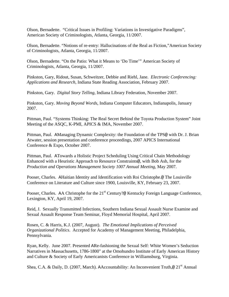Olson, Bernadette. "Critical Issues in Profiling: Variations in Investigative Paradigms", American Society of Criminologists, Atlanta, Georgia, 11/2007.

Olson, Bernadette. "Notions of re-entry: Hallucinations of the Real as Fiction,"American Society of Criminologists, Atlanta, Georgia, 11/2007.

Olson, Bernadette. "On the Patio: What it Means to 'Do Time'" American Society of Criminologists, Atlanta, Georgia, 11/2007.

Pinkston, Gary, Ridout, Susan, Schweitzer, Debbie and Riehl, Jane. *Electronic Conferencing: Applications and Research*, Indiana State Reading Association, February 2007.

Pinkston, Gary. *Digital Story Telling*, Indiana Library Federation, November 2007.

Pinkston, Gary. *Moving Beyond Words*, Indiana Computer Educators, Indianapolis, January 2007.

Pittman, Paul. "Systems Thinking: The Real Secret Behind the Toyota Production System" Joint Meeting of the ASQC, K-PMI, APICS & IMA, November 2007.

Pittman, Paul. AManaging Dynamic Complexity: the Foundation of the TPS@ with Dr. J. Brian Atwater, session presentation and conference proceedings, 2007 APICS International Conference & Expo, October 2007.

Pittman, Paul. ATowards a Holistic Project Scheduling Using Critical Chain Methodology Enhanced with a Heuristic Approach to Resource Constraints@, with Bob Ash, for the *Production and Operations Management Society 1007 Annual Meeting*, May 2007.

Pooser, Charles. AHaitian Identity and Identification with Roi Christophe.@ The Louisville Conference on Literature and Culture since 1900, Louisville, KY, February 23, 2007.

Pooser, Charles. AA Christophe for the  $21<sup>st</sup>$  Century?@ Kentucky Foreign Language Conference, Lexington, KY, April 19, 2007.

Reid, J. Sexually Transmitted Infections, Southern Indiana Sexual Assault Nurse Examine and Sexual Assault Response Team Seminar, Floyd Memorial Hospital, April 2007.

Rosen, C. & Harris, K.J. (2007, August). *The Emotional Implications of Perceived Organizational Politics*. Accepted for Academy of Management Meeting, Philadelphia, Pennsylvania.

Ryan, Kelly. June 2007. Presented ARe-fashioning the Sexual Self: White Women's Seduction Narratives in Massachusetts, 1786-1800" at the Omohundro Institute of Early American History and Culture & Society of Early Americanists Conference in Williamsburg, Virginia.

Shea, C.A. & Daily, D. (2007, March). AAccountability: An Inconvenient Truth, $\omega$  21<sup>st</sup> Annual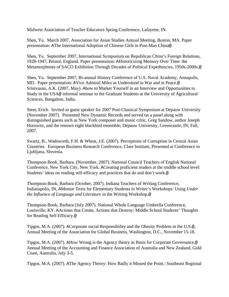Midwest Association of Teacher Educators Spring Conference, Lafayette, IN.

Shen, Yu. March 2007, Association for Asian Studies Annual Meeting, Boston, MA. Paper presentation: AThe International Adoption of Chinese Girls in Post-Mao China@.

Shen, Yu. September 2007, International Symposium on Republican China's Foreign Relations, 1928-1947, Bristol, England. Paper presentation: AHistoricizing Memory Over Time: the Metamorphoses of SACO Exhibition Through Decades of Political Expediencies, 1950s-2000s.@

Shen, Yu. September 2007, Bi-annual History Conference of U.S. Naval Academy, Annapolis, MD. Paper presentation: AVice Admiral Miles as Understood in War and in Peace.@ Srinivasan, A.K. (2007, May). Ahow to Market Yourself in an Interview and Opportunities to Study in the USA@ informal seminar to the Graduate Students at the University of Agricultural Sciences, Bangalore, India.

Stem, Erich. Invited as guest speaker for 2007 Post-Classical Symposium at Depauw University (November 2007). Presented New Dynamic Records and served on a panel along with distinguished guests such as New York composer and music critic, Greg Sandow, author Joseph Horowitz, and the renown eight blackbird ensemble; Depauw University, Greencastle, IN; Fall, 2007.

Swartz, B., Wadsworth, F.H. & Wheat, J.E. (2007). Perceptions of Corruption in Central Asian Countries. European Business Research Conference, Clute Institute, Presented at Conference in Ljubljana, Slovenia.

Thompson-Book, Barbara. (November, 2007). National Council Teachers of English National Conference, New York City, New York. ACreating proficient readers at the middle school level: Students' ideas on reading self-efficacy and practices that do and don't work.@

Thompson-Book, Barbara (October, 2007). Indiana Teachers of Writing Conference, Indianapolis, IN, AMentor Texts for Elementary Students in Writer's Workshops: Using *Under the Influence of Language and Literature* in the Writing Workshop.@

Thompson-Book, Barbara (July 2007). National Whole Language Umbrella Conference, Louisville, KY. AActions that Create, Actions that Destroy: Middle School Students' Thoughts for Reading Self Efficacy.@

Tipgos, M.A. (2007). ACorporate social Responsibility and the Obesity Problem in the U.S.@, Annual Meeting of the Association for Global Business, Washington, D.C., November 15-18.

Tipgos, M.A. (2007). AHow Wrong is the Agency theory as Basis for Corporate Governance.@ Annual Meeting of the Accounting and Finance Association of Australia and New Zealand, Gold Coast, Australia, July 3-5.

Tipgos, M.A. (2007). AThe Agency Theory: How Badly it Missed the Point.: Southeast Regional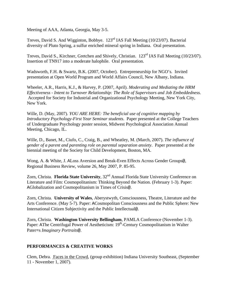Meeting of AAA, Atlanta, Georgia, May 3-5.

Treves, David S. And Wigginton, Bobbye. 123rd IAS Fall Meeting (10/23/07). Bacterial diversity of Pluto Spring, a sulfur enriched mineral spring in Indiana. Oral presentation.

Treves, David S., Kirchner, Gretchen and Shively, Christian. 123<sup>rd</sup> IAS Fall Meeting (10/23/07). Insertion of TN917 into a moderate halophile. Oral presentation.

Wadsworth, F.H. & Swartz, B.K. (2007, October). Entrepreneurship for NGO's. Invited presentation at Open World Program and World Affairs Council, New Albany, Indiana.

Wheeler, A.R., Harris, K.J., & Harvey, P. (2007, April). *Moderating and Mediating the HRM Effectiveness - Intent to Turnover Relationship: The Role of Supervisors and Job Embeddedness*. Accepted for Society for Industrial and Organizational Psychology Meeting, New York City, New York.

Wille, D. (May, 2007). *YOU ARE HERE: The beneficial use of cognitive mapping by Introductory Psychology-First Year Seminar students*. Paper presented at the College Teachers of Undergraduate Psychology poster session, Midwest Psychological Association Annual Meeting, Chicago, IL.

Wille, D., Banet, M., Ciufo, C., Craig, B., and Wheatley, M. (March, 2007). *The influence of gender of a parent and parenting role on parental separation anxiety*. Paper presented at the biennial meeting of the Society for Child Development, Boston, MA.

Wong, A. & White, J. ALoss Aversion and Break-Even Effects Across Gender Groups@, Regional Business Review, volume 26, May 2007, P. 85-95.

Zorn, Christa. **Florida State University**,  $32^{nd}$  Annual Florida State University Conference on Literature and Film: Cosmopolitanism: Thinking Beyond the Nation. (February 1-3). Paper: AGlobalization and Cosmopolitanism in Times of Crisis@.

Zorn, Christa. **University of Wales**, Aberystwyth, Consciousness, Theatre, Literature and the Arts Conference. (May 5-7). Paper: ACosmopolitan Consciousness and the Public Sphere: New International Citizen Subjectivity and the Public Intellectual@.

Zorn, Christa. **Washington University Bellingham**, PAMLA Conference (November 1-3). Paper: AThe Centrifugal Power of Aestheticism: 19<sup>th</sup>-Century Cosmopolitanism in Walter Pater=s *Imaginary Portraits*@.

# **PERFORMANCES & CREATIVE WORKS**

Clem, Debra. Faces in the Crowd, (group exhibition) Indiana University Southeast, (September 11 - November 1, 2007).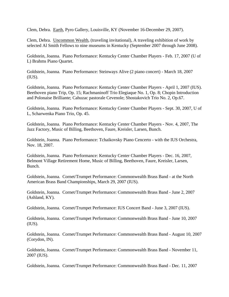Clem, Debra. Earth, Pyro Gallery, Louisville, KY (November 16-December 29, 2007).

Clem, Debra. Uncommon Wealth, (traveling invitational), A traveling exhibition of work by selected Al Smith Fellows to nine museums in Kentucky (September 2007 through June 2008).

Goldstein, Joanna. Piano Performance: Kentucky Center Chamber Players - Feb. 17, 2007 (U of L) Brahms Piano Quartet.

Goldstein, Joanna. Piano Performance: Steinways Alive (2 piano concert) - March 18, 2007  $(IUS)$ .

Goldstein, Joanna. Piano Performance: Kentucky Center Chamber Players - April 1, 2007 (IUS). Beethoven piano Trip, Op. 15; Rachmaninoff Trio Elegiaque No. 1, Op. 8; Chopin Introduction and Polonaise Brilliante; Cahuzac pastorale Cevenole; Shostakovich Trio No. 2, Op.67.

Goldstein, Joanna. Piano Performance: Kentucky Center Chamber Players - Sept. 30, 2007, U of L, Scharwenka Piano Trio, Op. 45.

Goldstein, Joanna. Piano Performance: Kentucky Center Chamber Players - Nov. 4, 2007, The Jazz Factory, Music of Billing, Beethoven, Faure, Kreisler, Larsen, Bunch.

Goldstein, Joanna. Piano Performance: Tchaikovsky Piano Cencerto - with the IUS Orchestra, Nov. 18, 2007.

Goldstein, Joanna. Piano Performance: Kentucky Center Chamber Players - Dec. 16, 2007, Belmont Village Retirement Home, Music of Billing, Beethoven, Faure, Kreisler, Larsen, Bunch.

Goldstein, Joanna. Cornet/Trumpet Performance: Commonwealth Brass Band - at the North American Brass Band Championships, March 29, 2007 (IUS).

Goldstein, Joanna. Cornet/Trumpet Performance: Commonwealth Brass Band - June 2, 2007 (Ashland, KY).

Goldstein, Joanna. Cornet/Trumpet Performance: IUS Concert Band - June 3, 2007 (IUS).

Goldstein, Joanna. Cornet/Trumpet Performance: Commonwealth Brass Band - June 10, 2007  $(IUS)$ .

Goldstein, Joanna. Cornet/Trumpet Performance: Commonwealth Brass Band - August 10, 2007 (Corydon, IN).

Goldstein, Joanna. Cornet/Trumpet Performance: Commonwealth Brass Band - November 11, 2007 (IUS).

Goldstein, Joanna. Cornet/Trumpet Performance: Commonwealth Brass Band - Dec. 11, 2007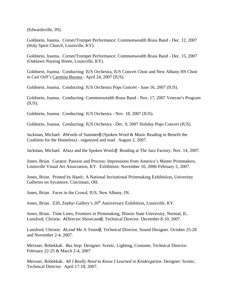(Edwardsville, IN).

Goldstein, Joanna. Cornet/Trumpet Performance: Commonwealth Brass Band - Dec. 12, 2007 (Holy Spirit Church, Louisville, KY).

Goldstein, Joanna. Cornet/Trumpet Performance: Commonwealth Brass Band - Dec. 15, 2007 (Oaklawn Nursing Home, Louisville, KY).

Goldstein, Joanna. Conducting: IUS Orchestra, IUS Concert Choir and New Albany HS Choir in Carl Orff's Carmina Burana - April 24, 2007 (IUS).

Goldstein, Joanna. Conducting: IUS Orchestra Pops Concert - June 16, 2007 (IUS).

Goldstein, Joanna. Conducting: Commonwealth Brass Band - Nov. 17, 2007 Veteran's Program (IUS).

Goldstein, Joanna. Conducting: IUS Orchestra - Nov. 18, 2007 (IUS).

Goldstein, Joanna. Conducting: IUS Orchestra - Dec. 9, 2007 Holiday Pops Concert (IUS).

Jackman, Michael. AWords of Summer@ (Spoken Word & Music Reading to Benefit the Coalition for the Homeless) - organized and read. August 2, 2007.

Jackman, Michael. AJazz and the Spoken Word.@ Reading at The Jazz Factory. Nov. 14, 2007.

Jones, Brian. Curator: Passion and Process: Impressions from America's Master Printmakers, Louisville Visual Art Association, KY. Exhibition: November 10, 2006-February 5, 2007.

Jones, Brian. Printed by Hand:; A National Invitational Printmaking Exhibitiion, Univeristy Galleries on Sycamore, Cincinnati, OH.

Jones, Brian. Faces in the Crowd, IUS, New Albany, IN.

Jones, Brian. Z20, Zephyr Gallery's 20<sup>th</sup> Anniversary Exhibition, Louisville, KY.

Jones, Brian. Time Lines, Frontiers in Printmaking, Illinois State University, Normal, IL. Lunsford, Christie. ADirector Showcase@, Technical Director. December 8-10, 2007.

Lunsford, Christie. ALend Me A Tenor@, Technical Director, Sound Designer. October 25-28 and November 2-4, 2007.

Meixner, Rebekkah. *Bus Stop.* Designer: Scenic, Lighting, Costume; Technical Director. February 22-25 & March 2-4, 2007

Meixner, Rebekkah. *All I Really Need to Know I Learned in Kindergarten*. Designer: Scenic; Technical Director. April 17-18, 2007.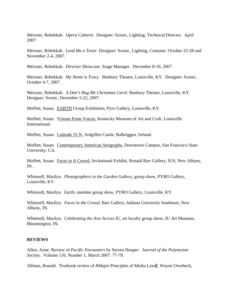Meixner, Rebekkah. *Opera Cabaret*. Designer: Scenic, Lighting; Technical Director. April 2007.

Meixner, Rebekkah. *Lend Me a Tenor*. Designer: Scenic, Lighting, Costume. October 25-28 and November 2-4, 2007.

Meixner, Rebekkah. *Director Showcase*. Stage Manager. December 8-10, 2007.

Meixner, Rebekkah. *My Name is Tracy*. Bunbury Theatre, Louisville, KY. Designer: Scenic, October 4-7, 2007.

Meixner, Rebekkah. *A Don't Hug Me Christmas Carol*. Bunbury Theatre, Louisivlle, KY. Designer: Scenic, December 5-22, 2007.

Moffett, Susan. EARTH Group Exhibition, Pyro Gallery, Louisville, KY.

Moffett, Susan. Visions From Voices, Kentucky Museum of Art and Craft, Louisville International.

Moffett, Susan. Latitude 55 N, Ardgillen Castle, Balbriggen, Ireland.

Moffett, Susan. Contemporary American Serigraphs, Downtown Campus, San Francisco State University, CA.

Moffett, Susan. Faces in A Crowd, Invitational Exhibit, Ronald Barr Gallery, IUS, New Albany, IN.

Whitesell, Marilyn. *Photographers in the Garden Gallery*, group show, PYRO Gallery, Louisville, KY.

Whitesell, Marilyn. *Earth*, member group show, PYRO Gallery, Louisville, KY.

Whitesell, Marilyn. *Faces in the Crowd*, Barr Gallery, Indiana University Southeast, New Albany, IN.

Whitesell, Marilyn. *Celebrating the Arts Across IU*, art faculty group show, IU Art Museum, Bloomington, IN.

#### **REVIEWS**

Allen, Anne. Review of *Pacific Encounters* by Steven Hooper. *Journal of the Polynesian Society*. Volume 116, Number 1, March 2007: 77-78.

Allman, Ronald. Textbook review of AMajor Principles of Media Law@, Wayne Overbeck,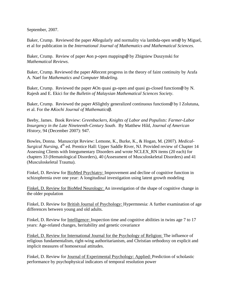September, 2007.

Baker, Crump. Reviewed the paper ARegularly and normality via lambda-open sets@ by Miguel, et al for publication in the *International Journal of Mathematics and Mathematical Sciences*.

Baker, Crump. Review of paper Aon p-open mappings@ by Zbigniew Duszynski for *Mathematical Reviews*.

Baker, Crump. Reviewed the paper ARecent progress in the theory of faint continuity by Arafa A. Naef for *Mathematics and Computer Modeling*.

Baker, Crump. Reviewed the paper AOn quasi gs-open and quasi gs-closed functions@ by N. Rajesh and E. Ekici for the *Bulletin of Malaysian Mathematical Sciences Society*.

Baker, Crump. Reviewed the paper ASlightly generalized continuous functions@ by I Zolutuna, et al. For the A*Kochi Journal of Mathematics*@.

Beeby, James. Book Review: *Greenbackers, Knights of Labor and Populists: Farmer-Labor Insurgency in the Late Nineteenth-Century South*. By Matthew Hild, *Journal of American History*, 94 (December 2007): 947.

Bowles, Donna. Manuscript Review: Lemone, K., Burke, K., & Hogan, M. (2007). *Medical-Surgical Nursing*, 4<sup>th</sup> ed. Prentice Hall: Upper Saddle River, NJ. Provided review of Chapter 14 Assessing Clients with Integumentary Disorders and wrote NCLEX\_RN items (20 each) for chapters 33 (Hematological Disorders), 40 (Assessment of Musculoskeletal Disorders) and 41 (Musculoskeletal Trauma).

Finkel, D. Review for BioMed Psychiatry: Improvement and decline of cognitive function in schizophrenia over one year: A longitudinal investigation using latent growth modeling

Finkel, D. Review for BioMed Neurology: An investigation of the shape of cognitive change in the older population

Finkel, D. Review for **British Journal of Psychology:** Hypermnesia: A further examination of age differences between young and old adults.

Finkel, D. Review for Intelligence: Inspection time and cognitive abilities in twins age 7 to 17 years: Age-related changes, heritability and genetic covariance

Finkel, D. Review for International Journal for the Psychology of Religion: The influence of religious fundamentalism, right-wing authoritarianism, and Christian orthodoxy on explicit and implicit measures of homosexual attitudes.

Finkel, D. Review for Journal of Experimental Psychology: Applied: Prediction of scholastic performance by psychophysical indicators of temporal resolution power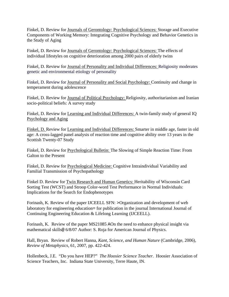Finkel, D. Review for Journals of Gerontology: Psychological Sciences: Storage and Executive Components of Working Memory: Integrating Cognitive Psychology and Behavior Genetics in the Study of Aging

Finkel, D. Review for Journals of Gerontology: Psychological Sciences: The effects of individual lifestyles on cognitive deterioration among 2000 pairs of elderly twins

Finkel, D. Review for Journal of Personality and Individual Differences: Religiosity moderates genetic and environmental etiology of personality

Finkel, D. Review for Journal of Personality and Social Psychology: Continuity and change in temperament during adolescence

Finkel, D. Review for Journal of Political Psychology: Religiosity, authoritarianism and Iranian socio-political beliefs: A survey study

Finkel, D. Review for Learning and Individual Differences: A twin-family study of general IQ Psychology and Aging

Finkel, D. Review for Learning and Individual Differences: Smarter in middle age, faster in old age: A cross-lagged panel analysis of reaction time and cognitive ability over 13 years in the Scottish Twenty-07 Study

Finkel, D. Review for Psychological Bulletin: The Slowing of Simple Reaction Time: From Galton to the Present

Finkel, D. Review for Psychological Medicine: Cognitive Intraindividual Variability and Familial Transmission of Psychopathology

Finkel D. Review for Twin Research and Human Genetics: Heritability of Wisconsin Card Sorting Test (WCST) and Stroop Color-word Test Performance in Normal Individuals: Implications for the Search for Endophenotypes

Forinash, K. Review of the paper IJCEELL SFN: >Organization and development of web laboratory for engineering education= for publication in the journal International Journal of Continuing Engineering Education & Lifelong Learning (IJCEELL).

Forinash, K. Review of the paper MS21085 AOn the need to enhance physical insight via mathematical skills@ 6/8/07 Author: S. Roja for American Journal of Physics.

Hall, Bryan. Review of Robert Hanna, *Kant, Science, and Human Nature* (Cambridge, 2006), *Review of Metaphysics*, 61, 2007, pp. 422-424.

Hollenbeck, J.E. "Do you have HEP?" *The Hoosier Science Teacher*. Hoosier Association of Science Teachers, Inc. Indiana State University, Terre Haute, IN.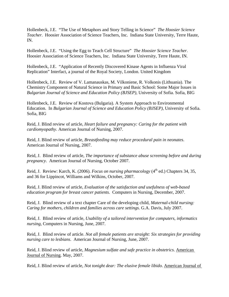Hollenbeck, J.E. "The Use of Metaphors and Story Telling in Science" *The Hoosier Science Teacher*. Hoosier Association of Science Teachers, Inc. Indiana State University, Terre Haute, IN.

Hollenbeck, J.E. "Using the Egg to Teach Cell Structure" *The Hoosier Science Teacher*. Hoosier Association of Science Teachers, Inc. Indiana State University, Terre Haute, IN.

Hollenbeck, J.E. "Application of Recently Discovered Kinase Agents in Influenza Viral Replication" Interfact, a journal of the Royal Society, London. United Kingdom

Hollenbeck, J.E. Review of V. Lamanauskas, M. Vilkoniene, R. Volkonis (Lithuania). The Chemistry Component of Natural Science in Primary and Basic School: Some Major Issues in *Bulgarian Journal of Science and Education Policy (BJSEP),* University of Sofia. Sofia, BIG

Hollenbeck, J.E. Review of Kostova (Bulgaria). A System Approach to Environmental Education. In *Bulgarian Journal of Science and Education Policy (BJSEP)*, University of Sofia. Sofia, BIG

Reid, J. Blind review of article, *Heart failure and pregnancy: Caring for the patient with cardiomyopathy*. American Journal of Nursing, 2007.

Reid, J. Blind review of article, *Breastfeeding may reduce procedural pain in neonates*. American Journal of Nursing, 2007.

Reid, J. Blind review of article, *The importance of substance abuse screening before and during pregnancy*. American Journal of Nursing, October 2007.

Reid, J. Review: Karch, K. (2006). *Focus on nursing pharmacology* (4<sup>th</sup> ed.) Chapters 34, 35, and 36 for Lippincot, Williams and Wilkins, October, 2007.

Reid, J. Blind review of article, *Evaluation of the satisfaction and usefulness of web-based education program for breast cancer patients*. Computers in Nursing, December, 2007.

Reid, J. Blind review of a text chapter Care of the developing child, *Maternal-child nursing: Caring for mothers, children and families across care settings*. G.A. Davis, July 2007.

Reid, J. Blind review of article, *Usability of a tailored intervention for computers, informatics nursing*, Computers in Nursing, June, 2007.

Reid, J. Blind review of article. *Not all female patients are straight: Six strategies for providing nursing care to lesbians*. American Journal of Nursing, June, 2007.

Reid, J. Blind review of article, *Magnesium sulfate and safe practice in obstetrics*. American Journal of Nursing. May, 2007.

Reid, J. Blind review of article, *Not tonight dear: The elusive female libido*. American Journal of